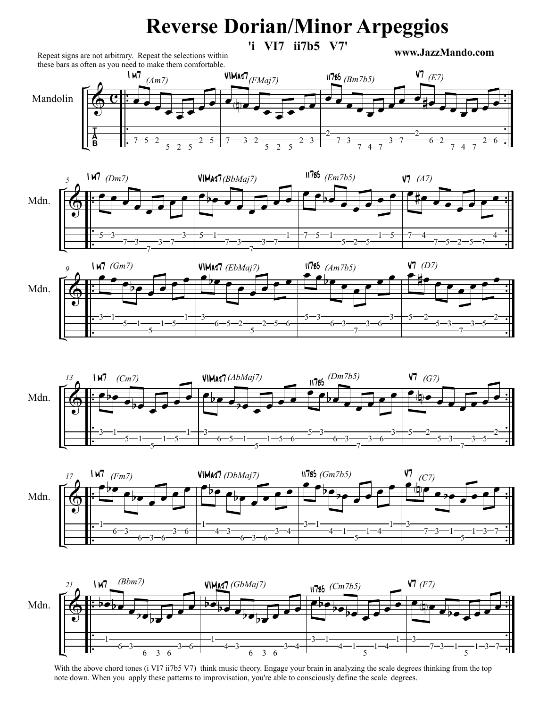## **Reverse Dorian/Minor Arpeggios**

**'i VI7 ii7b5 V7'**

**www.JazzMando.com**



Repeat signs are not arbitrary. Repeat the selections within











With the above chord tones (i VI7 ii7b5 V7) think music theory. Engage your brain in analyzing the scale degrees thinking from the top note down. When you apply these patterns to improvisation, you're able to consciously define the scale degrees.